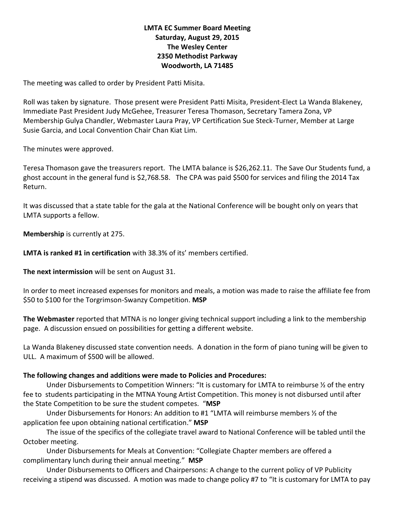## **LMTA EC Summer Board Meeting Saturday, August 29, 2015 The Wesley Center 2350 Methodist Parkway Woodworth, LA 71485**

The meeting was called to order by President Patti Misita.

Roll was taken by signature. Those present were President Patti Misita, President-Elect La Wanda Blakeney, Immediate Past President Judy McGehee, Treasurer Teresa Thomason, Secretary Tamera Zona, VP Membership Gulya Chandler, Webmaster Laura Pray, VP Certification Sue Steck-Turner, Member at Large Susie Garcia, and Local Convention Chair Chan Kiat Lim.

The minutes were approved.

Teresa Thomason gave the treasurers report.The LMTA balance is \$26,262.11. The Save Our Students fund, a ghost account in the general fund is \$2,768.58. The CPA was paid \$500 for services and filing the 2014 Tax Return.

It was discussed that a state table for the gala at the National Conference will be bought only on years that LMTA supports a fellow.

**Membership** is currently at 275.

**LMTA is ranked #1 in certification** with 38.3% of its' members certified.

**The next intermission** will be sent on August 31.

In order to meet increased expenses for monitors and meals, a motion was made to raise the affiliate fee from \$50 to \$100 for the Torgrimson-Swanzy Competition. **MSP**

**The Webmaster** reported that MTNA is no longer giving technical support including a link to the membership page. A discussion ensued on possibilities for getting a different website.

La Wanda Blakeney discussed state convention needs. A donation in the form of piano tuning will be given to ULL. A maximum of \$500 will be allowed.

## **The following changes and additions were made to Policies and Procedures:**

Under Disbursements to Competition Winners: "It is customary for LMTA to reimburse ½ of the entry fee to students participating in the MTNA Young Artist Competition. This money is not disbursed until after the State Competition to be sure the student competes. "**MSP**

Under Disbursements for Honors: An addition to #1 "LMTA will reimburse members ½ of the application fee upon obtaining national certification." **MSP**

The issue of the specifics of the collegiate travel award to National Conference will be tabled until the October meeting.

Under Disbursements for Meals at Convention: "Collegiate Chapter members are offered a complimentary lunch during their annual meeting." **MSP**

Under Disbursements to Officers and Chairpersons: A change to the current policy of VP Publicity receiving a stipend was discussed. A motion was made to change policy #7 to "It is customary for LMTA to pay